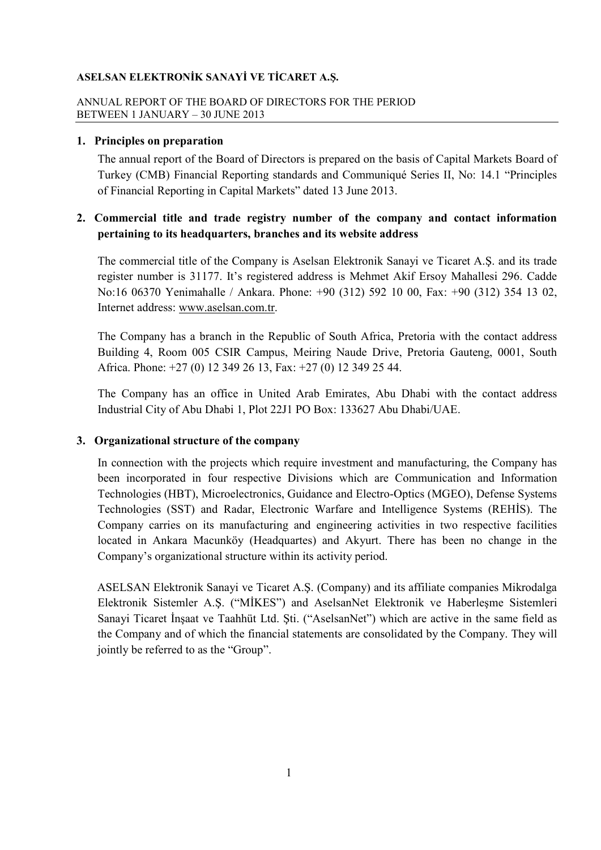## ANNUAL REPORT OF THE BOARD OF DIRECTORS FOR THE PERIOD BETWEEN 1 JANUARY – 30 JUNE 2013

## **1. Principles on preparation**

The annual report of the Board of Directors is prepared on the basis of Capital Markets Board of Turkey (CMB) Financial Reporting standards and Communiqué Series II, No: 14.1 "Principles of Financial Reporting in Capital Markets" dated 13 June 2013.

# **2. Commercial title and trade registry number of the company and contact information pertaining to its headquarters, branches and its website address**

The commercial title of the Company is Aselsan Elektronik Sanayi ve Ticaret A.Ş. and its trade register number is 31177. It's registered address is Mehmet Akif Ersoy Mahallesi 296. Cadde No:16 06370 Yenimahalle / Ankara. Phone: +90 (312) 592 10 00, Fax: +90 (312) 354 13 02, Internet address: www.aselsan.com.tr.

The Company has a branch in the Republic of South Africa, Pretoria with the contact address Building 4, Room 005 CSIR Campus, Meiring Naude Drive, Pretoria Gauteng, 0001, South Africa. Phone: +27 (0) 12 349 26 13, Fax: +27 (0) 12 349 25 44.

The Company has an office in United Arab Emirates, Abu Dhabi with the contact address Industrial City of Abu Dhabi 1, Plot 22J1 PO Box: 133627 Abu Dhabi/UAE.

# **3. Organizational structure of the company**

In connection with the projects which require investment and manufacturing, the Company has been incorporated in four respective Divisions which are Communication and Information Technologies (HBT), Microelectronics, Guidance and Electro-Optics (MGEO), Defense Systems Technologies (SST) and Radar, Electronic Warfare and Intelligence Systems (REHIS). The Company carries on its manufacturing and engineering activities in two respective facilities located in Ankara Macunköy (Headquartes) and Akyurt. There has been no change in the Company's organizational structure within its activity period.

 ASELSAN Elektronik Sanayi ve Ticaret A.Ş. (Company) and its affiliate companies Mikrodalga Elektronik Sistemler A.S. ("MİKES") and AselsanNet Elektronik ve Haberlesme Sistemleri Sanayi Ticaret İnsaat ve Taahhüt Ltd. Sti. ("AselsanNet") which are active in the same field as the Company and of which the financial statements are consolidated by the Company. They will jointly be referred to as the "Group".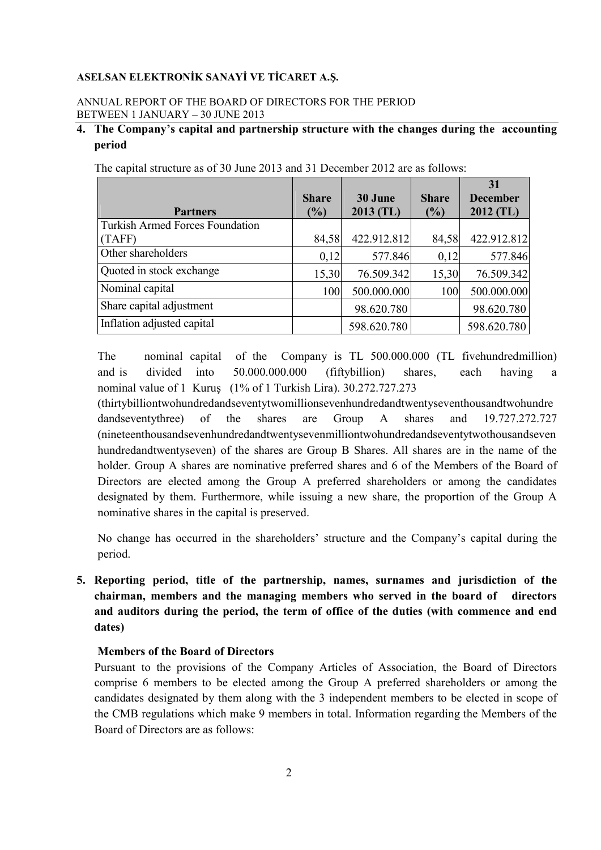## ANNUAL REPORT OF THE BOARD OF DIRECTORS FOR THE PERIOD BETWEEN 1 JANUARY – 30 JUNE 2013

# **4. The Company's capital and partnership structure with the changes during the accounting period**

|                                        |              |             |              | 31              |
|----------------------------------------|--------------|-------------|--------------|-----------------|
|                                        | <b>Share</b> | 30 June     | <b>Share</b> | <b>December</b> |
| <b>Partners</b>                        | $(\%)$       | $2013$ (TL) | (%)          | $2012$ (TL)     |
| <b>Turkish Armed Forces Foundation</b> |              |             |              |                 |
| (TAFF)                                 | 84,58        | 422.912.812 | 84,58        | 422.912.812     |
| Other shareholders                     | 0,12         | 577.846     | 0,12         | 577.846         |
| Quoted in stock exchange               | 15,30        | 76.509.342  | 15,30        | 76.509.342      |
| Nominal capital                        | 100          | 500.000.000 | 100          | 500.000.000     |
| Share capital adjustment               |              | 98.620.780  |              | 98.620.780      |
| Inflation adjusted capital             |              | 598.620.780 |              | 598.620.780     |

The capital structure as of 30 June 2013 and 31 December 2012 are as follows:

The nominal capital of the Company is TL 500.000.000 (TL fivehundredmillion) and is divided into 50.000.000.000 (fiftybillion) shares, each having a nominal value of 1 Kuruş (1% of 1 Turkish Lira). 30.272.727.273

 (thirtybilliontwohundredandseventytwomillionsevenhundredandtwentyseventhousandtwohundre dandseventythree) of the shares are Group A shares and 19.727.272.727 (nineteenthousandsevenhundredandtwentysevenmilliontwohundredandseventytwothousandseven hundredandtwentyseven) of the shares are Group B Shares. All shares are in the name of the holder. Group A shares are nominative preferred shares and 6 of the Members of the Board of Directors are elected among the Group A preferred shareholders or among the candidates designated by them. Furthermore, while issuing a new share, the proportion of the Group A nominative shares in the capital is preserved.

No change has occurred in the shareholders' structure and the Company's capital during the period.

**5. Reporting period, title of the partnership, names, surnames and jurisdiction of the chairman, members and the managing members who served in the board of directors and auditors during the period, the term of office of the duties (with commence and end dates)** 

# **Members of the Board of Directors**

Pursuant to the provisions of the Company Articles of Association, the Board of Directors comprise 6 members to be elected among the Group A preferred shareholders or among the candidates designated by them along with the 3 independent members to be elected in scope of the CMB regulations which make 9 members in total. Information regarding the Members of the Board of Directors are as follows: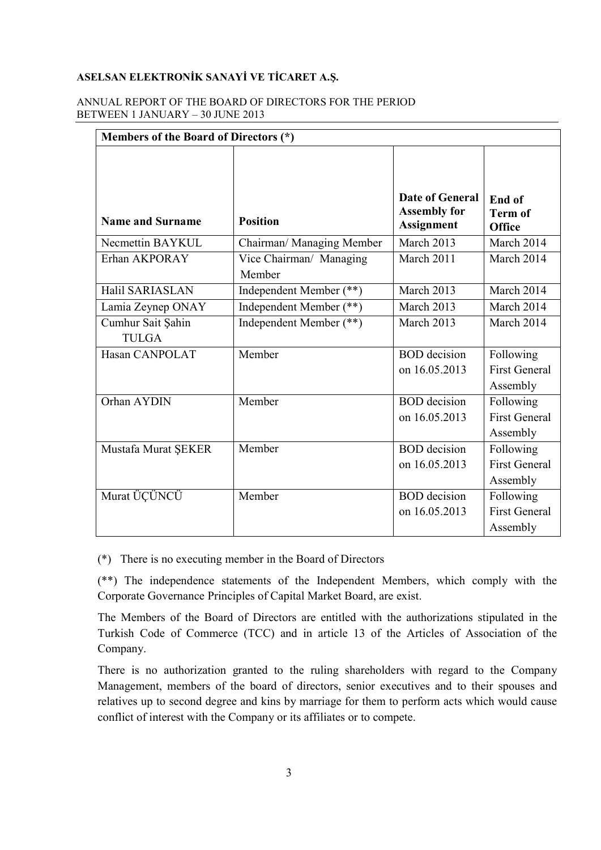### ANNUAL REPORT OF THE BOARD OF DIRECTORS FOR THE PERIOD BETWEEN 1 JANUARY – 30 JUNE 2013

| Members of the Board of Directors (*) |                                   |                                                                    |                                               |  |
|---------------------------------------|-----------------------------------|--------------------------------------------------------------------|-----------------------------------------------|--|
| <b>Name and Surname</b>               | <b>Position</b>                   | <b>Date of General</b><br><b>Assembly for</b><br><b>Assignment</b> | End of<br><b>Term of</b><br><b>Office</b>     |  |
| Necmettin BAYKUL                      | Chairman/ Managing Member         | March 2013                                                         | March 2014                                    |  |
| Erhan AKPORAY                         | Vice Chairman/ Managing<br>Member | March 2011                                                         | March 2014                                    |  |
| Halil SARIASLAN                       | Independent Member (**)           | March 2013                                                         | March 2014                                    |  |
| Lamia Zeynep ONAY                     | Independent Member (**)           | March 2013                                                         | March 2014                                    |  |
| Cumhur Sait Şahin<br><b>TULGA</b>     | Independent Member (**)           | March 2013                                                         | March 2014                                    |  |
| Hasan CANPOLAT                        | Member                            | <b>BOD</b> decision<br>on 16.05.2013                               | Following<br><b>First General</b><br>Assembly |  |
| Orhan AYDIN                           | Member                            | <b>BOD</b> decision<br>on 16.05.2013                               | Following<br><b>First General</b><br>Assembly |  |
| Mustafa Murat ŞEKER                   | Member                            | <b>BOD</b> decision<br>on 16.05.2013                               | Following<br><b>First General</b><br>Assembly |  |
| Murat ÜÇÜNCÜ                          | Member                            | <b>BOD</b> decision<br>on 16.05.2013                               | Following<br><b>First General</b><br>Assembly |  |

(\*) There is no executing member in the Board of Directors

(\*\*) The independence statements of the Independent Members, which comply with the Corporate Governance Principles of Capital Market Board, are exist.

 The Members of the Board of Directors are entitled with the authorizations stipulated in the Turkish Code of Commerce (TCC) and in article 13 of the Articles of Association of the Company.

There is no authorization granted to the ruling shareholders with regard to the Company Management, members of the board of directors, senior executives and to their spouses and relatives up to second degree and kins by marriage for them to perform acts which would cause conflict of interest with the Company or its affiliates or to compete.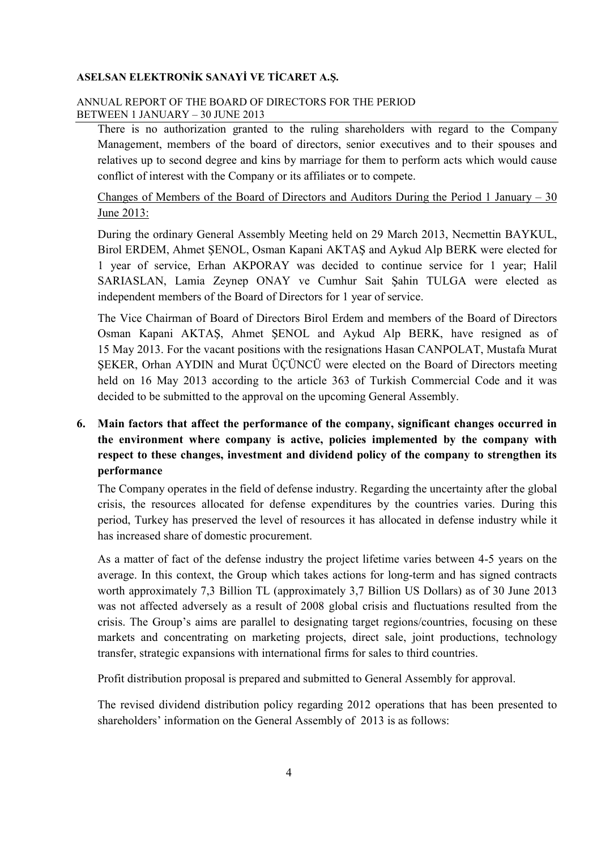## ANNUAL REPORT OF THE BOARD OF DIRECTORS FOR THE PERIOD BETWEEN 1 JANUARY – 30 JUNE 2013

There is no authorization granted to the ruling shareholders with regard to the Company Management, members of the board of directors, senior executives and to their spouses and relatives up to second degree and kins by marriage for them to perform acts which would cause conflict of interest with the Company or its affiliates or to compete.

 Changes of Members of the Board of Directors and Auditors During the Period 1 January – 30 June 2013:

During the ordinary General Assembly Meeting held on 29 March 2013, Necmettin BAYKUL, Birol ERDEM, Ahmet ŞENOL, Osman Kapani AKTAŞ and Aykud Alp BERK were elected for 1 year of service, Erhan AKPORAY was decided to continue service for 1 year; Halil SARIASLAN, Lamia Zeynep ONAY ve Cumhur Sait Şahin TULGA were elected as independent members of the Board of Directors for 1 year of service.

The Vice Chairman of Board of Directors Birol Erdem and members of the Board of Directors Osman Kapani AKTAŞ, Ahmet ŞENOL and Aykud Alp BERK, have resigned as of 15 May 2013. For the vacant positions with the resignations Hasan CANPOLAT, Mustafa Murat ŞEKER, Orhan AYDIN and Murat ÜÇÜNCÜ were elected on the Board of Directors meeting held on 16 May 2013 according to the article 363 of Turkish Commercial Code and it was decided to be submitted to the approval on the upcoming General Assembly.

# **6. Main factors that affect the performance of the company, significant changes occurred in the environment where company is active, policies implemented by the company with respect to these changes, investment and dividend policy of the company to strengthen its performance**

The Company operates in the field of defense industry. Regarding the uncertainty after the global crisis, the resources allocated for defense expenditures by the countries varies. During this period, Turkey has preserved the level of resources it has allocated in defense industry while it has increased share of domestic procurement.

As a matter of fact of the defense industry the project lifetime varies between 4-5 years on the average. In this context, the Group which takes actions for long-term and has signed contracts worth approximately 7,3 Billion TL (approximately 3,7 Billion US Dollars) as of 30 June 2013 was not affected adversely as a result of 2008 global crisis and fluctuations resulted from the crisis. The Group's aims are parallel to designating target regions/countries, focusing on these markets and concentrating on marketing projects, direct sale, joint productions, technology transfer, strategic expansions with international firms for sales to third countries.

Profit distribution proposal is prepared and submitted to General Assembly for approval.

The revised dividend distribution policy regarding 2012 operations that has been presented to shareholders' information on the General Assembly of 2013 is as follows: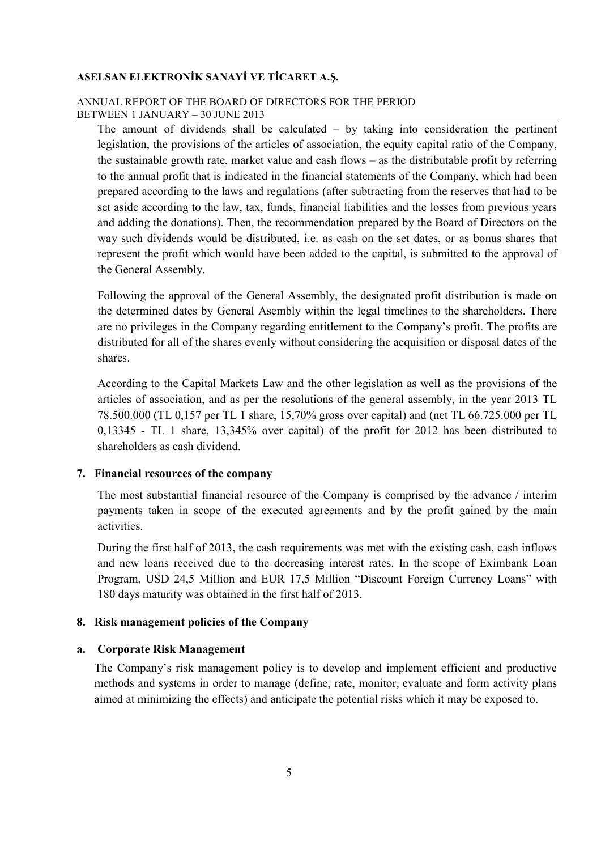## ANNUAL REPORT OF THE BOARD OF DIRECTORS FOR THE PERIOD BETWEEN 1 JANUARY – 30 JUNE 2013

The amount of dividends shall be calculated – by taking into consideration the pertinent legislation, the provisions of the articles of association, the equity capital ratio of the Company, the sustainable growth rate, market value and cash flows – as the distributable profit by referring to the annual profit that is indicated in the financial statements of the Company, which had been prepared according to the laws and regulations (after subtracting from the reserves that had to be set aside according to the law, tax, funds, financial liabilities and the losses from previous years and adding the donations). Then, the recommendation prepared by the Board of Directors on the way such dividends would be distributed, i.e. as cash on the set dates, or as bonus shares that represent the profit which would have been added to the capital, is submitted to the approval of the General Assembly.

Following the approval of the General Assembly, the designated profit distribution is made on the determined dates by General Asembly within the legal timelines to the shareholders. There are no privileges in the Company regarding entitlement to the Company's profit. The profits are distributed for all of the shares evenly without considering the acquisition or disposal dates of the shares.

According to the Capital Markets Law and the other legislation as well as the provisions of the articles of association, and as per the resolutions of the general assembly, in the year 2013 TL 78.500.000 (TL 0,157 per TL 1 share, 15,70% gross over capital) and (net TL 66.725.000 per TL 0,13345 - TL 1 share, 13,345% over capital) of the profit for 2012 has been distributed to shareholders as cash dividend.

## **7. Financial resources of the company**

The most substantial financial resource of the Company is comprised by the advance / interim payments taken in scope of the executed agreements and by the profit gained by the main activities.

During the first half of 2013, the cash requirements was met with the existing cash, cash inflows and new loans received due to the decreasing interest rates. In the scope of Eximbank Loan Program, USD 24,5 Million and EUR 17,5 Million "Discount Foreign Currency Loans" with 180 days maturity was obtained in the first half of 2013.

#### **8. Risk management policies of the Company**

#### **a. Corporate Risk Management**

The Company's risk management policy is to develop and implement efficient and productive methods and systems in order to manage (define, rate, monitor, evaluate and form activity plans aimed at minimizing the effects) and anticipate the potential risks which it may be exposed to.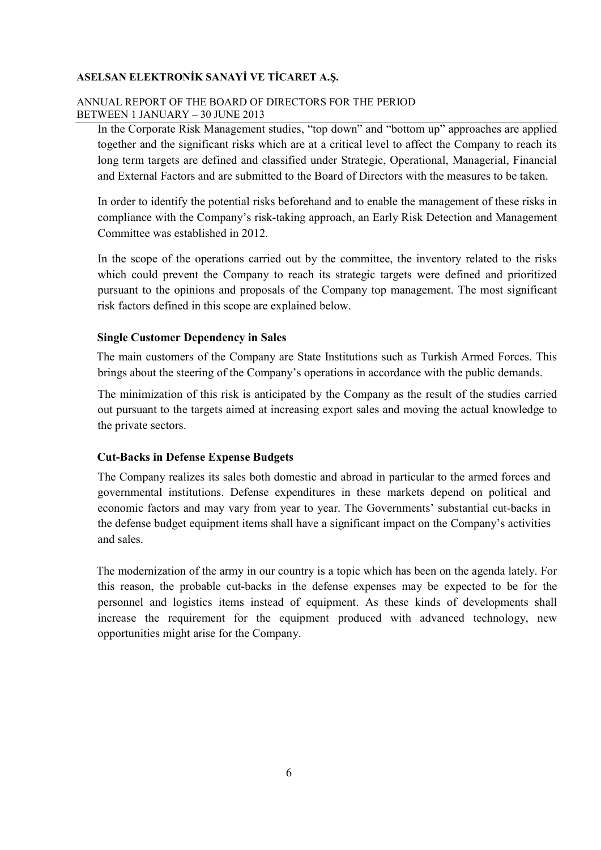## ANNUAL REPORT OF THE BOARD OF DIRECTORS FOR THE PERIOD BETWEEN 1 JANUARY – 30 JUNE 2013

 In the Corporate Risk Management studies, "top down" and "bottom up" approaches are applied together and the significant risks which are at a critical level to affect the Company to reach its long term targets are defined and classified under Strategic, Operational, Managerial, Financial and External Factors and are submitted to the Board of Directors with the measures to be taken.

 In order to identify the potential risks beforehand and to enable the management of these risks in compliance with the Company's risk-taking approach, an Early Risk Detection and Management Committee was established in 2012.

 In the scope of the operations carried out by the committee, the inventory related to the risks which could prevent the Company to reach its strategic targets were defined and prioritized pursuant to the opinions and proposals of the Company top management. The most significant risk factors defined in this scope are explained below.

#### **Single Customer Dependency in Sales**

 The main customers of the Company are State Institutions such as Turkish Armed Forces. This brings about the steering of the Company's operations in accordance with the public demands.

The minimization of this risk is anticipated by the Company as the result of the studies carried out pursuant to the targets aimed at increasing export sales and moving the actual knowledge to the private sectors.

## **Cut-Backs in Defense Expense Budgets**

The Company realizes its sales both domestic and abroad in particular to the armed forces and governmental institutions. Defense expenditures in these markets depend on political and economic factors and may vary from year to year. The Governments' substantial cut-backs in the defense budget equipment items shall have a significant impact on the Company's activities and sales.

 The modernization of the army in our country is a topic which has been on the agenda lately. For this reason, the probable cut-backs in the defense expenses may be expected to be for the personnel and logistics items instead of equipment. As these kinds of developments shall increase the requirement for the equipment produced with advanced technology, new opportunities might arise for the Company.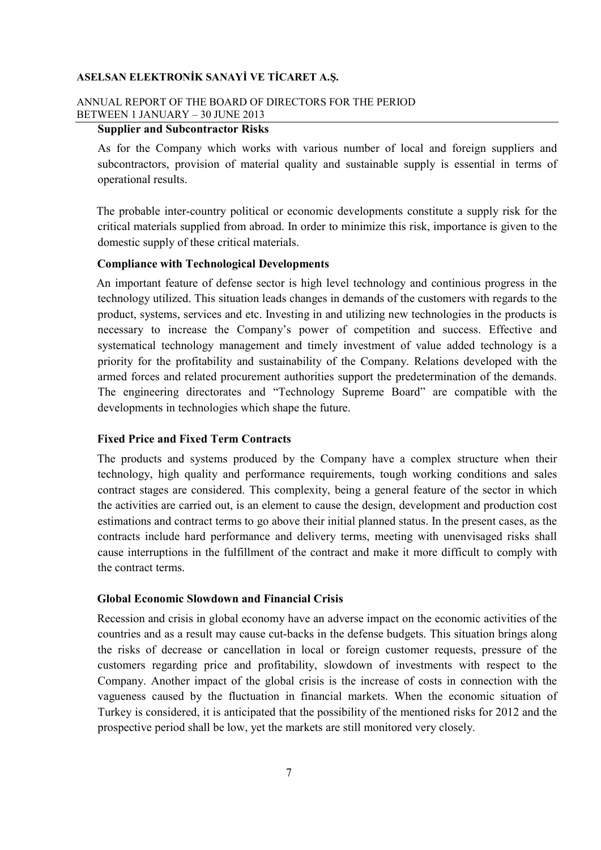## ANNUAL REPORT OF THE BOARD OF DIRECTORS FOR THE PERIOD BETWEEN 1 JANUARY – 30 JUNE 2013

# **Supplier and Subcontractor Risks**

As for the Company which works with various number of local and foreign suppliers and subcontractors, provision of material quality and sustainable supply is essential in terms of operational results.

 The probable inter-country political or economic developments constitute a supply risk for the critical materials supplied from abroad. In order to minimize this risk, importance is given to the domestic supply of these critical materials.

#### **Compliance with Technological Developments**

 An important feature of defense sector is high level technology and continious progress in the technology utilized. This situation leads changes in demands of the customers with regards to the product, systems, services and etc. Investing in and utilizing new technologies in the products is necessary to increase the Company's power of competition and success. Effective and systematical technology management and timely investment of value added technology is a priority for the profitability and sustainability of the Company. Relations developed with the armed forces and related procurement authorities support the predetermination of the demands. The engineering directorates and "Technology Supreme Board" are compatible with the developments in technologies which shape the future.

## **Fixed Price and Fixed Term Contracts**

 The products and systems produced by the Company have a complex structure when their technology, high quality and performance requirements, tough working conditions and sales contract stages are considered. This complexity, being a general feature of the sector in which the activities are carried out, is an element to cause the design, development and production cost estimations and contract terms to go above their initial planned status. In the present cases, as the contracts include hard performance and delivery terms, meeting with unenvisaged risks shall cause interruptions in the fulfillment of the contract and make it more difficult to comply with the contract terms.

#### **Global Economic Slowdown and Financial Crisis**

 Recession and crisis in global economy have an adverse impact on the economic activities of the countries and as a result may cause cut-backs in the defense budgets. This situation brings along the risks of decrease or cancellation in local or foreign customer requests, pressure of the customers regarding price and profitability, slowdown of investments with respect to the Company. Another impact of the global crisis is the increase of costs in connection with the vagueness caused by the fluctuation in financial markets. When the economic situation of Turkey is considered, it is anticipated that the possibility of the mentioned risks for 2012 and the prospective period shall be low, yet the markets are still monitored very closely.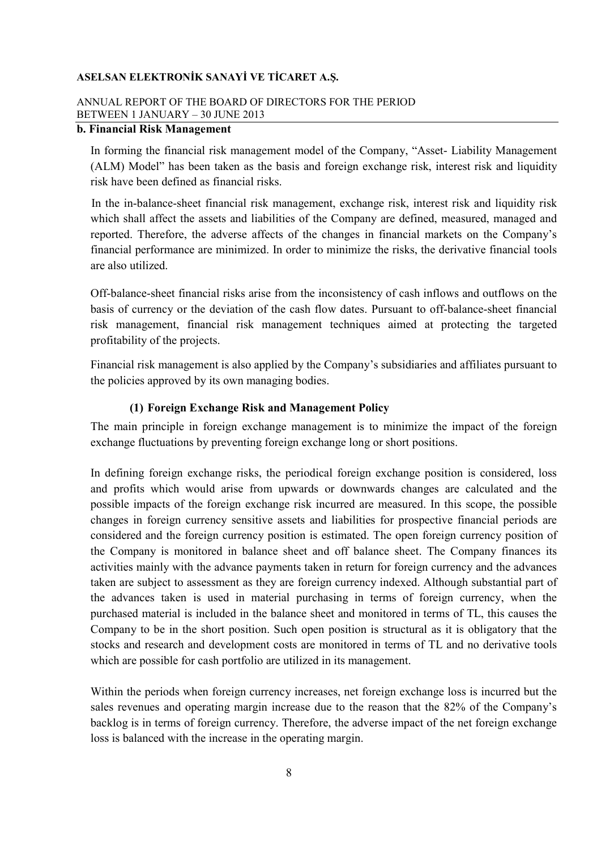## ANNUAL REPORT OF THE BOARD OF DIRECTORS FOR THE PERIOD BETWEEN 1 JANUARY – 30 JUNE 2013

# **b. Financial Risk Management**

 In forming the financial risk management model of the Company, "Asset- Liability Management (ALM) Model" has been taken as the basis and foreign exchange risk, interest risk and liquidity risk have been defined as financial risks.

 In the in-balance-sheet financial risk management, exchange risk, interest risk and liquidity risk which shall affect the assets and liabilities of the Company are defined, measured, managed and reported. Therefore, the adverse affects of the changes in financial markets on the Company's financial performance are minimized. In order to minimize the risks, the derivative financial tools are also utilized.

Off-balance-sheet financial risks arise from the inconsistency of cash inflows and outflows on the basis of currency or the deviation of the cash flow dates. Pursuant to off-balance-sheet financial risk management, financial risk management techniques aimed at protecting the targeted profitability of the projects.

Financial risk management is also applied by the Company's subsidiaries and affiliates pursuant to the policies approved by its own managing bodies.

## **(1) Foreign Exchange Risk and Management Policy**

The main principle in foreign exchange management is to minimize the impact of the foreign exchange fluctuations by preventing foreign exchange long or short positions.

In defining foreign exchange risks, the periodical foreign exchange position is considered, loss and profits which would arise from upwards or downwards changes are calculated and the possible impacts of the foreign exchange risk incurred are measured. In this scope, the possible changes in foreign currency sensitive assets and liabilities for prospective financial periods are considered and the foreign currency position is estimated. The open foreign currency position of the Company is monitored in balance sheet and off balance sheet. The Company finances its activities mainly with the advance payments taken in return for foreign currency and the advances taken are subject to assessment as they are foreign currency indexed. Although substantial part of the advances taken is used in material purchasing in terms of foreign currency, when the purchased material is included in the balance sheet and monitored in terms of TL, this causes the Company to be in the short position. Such open position is structural as it is obligatory that the stocks and research and development costs are monitored in terms of TL and no derivative tools which are possible for cash portfolio are utilized in its management.

Within the periods when foreign currency increases, net foreign exchange loss is incurred but the sales revenues and operating margin increase due to the reason that the 82% of the Company's backlog is in terms of foreign currency. Therefore, the adverse impact of the net foreign exchange loss is balanced with the increase in the operating margin.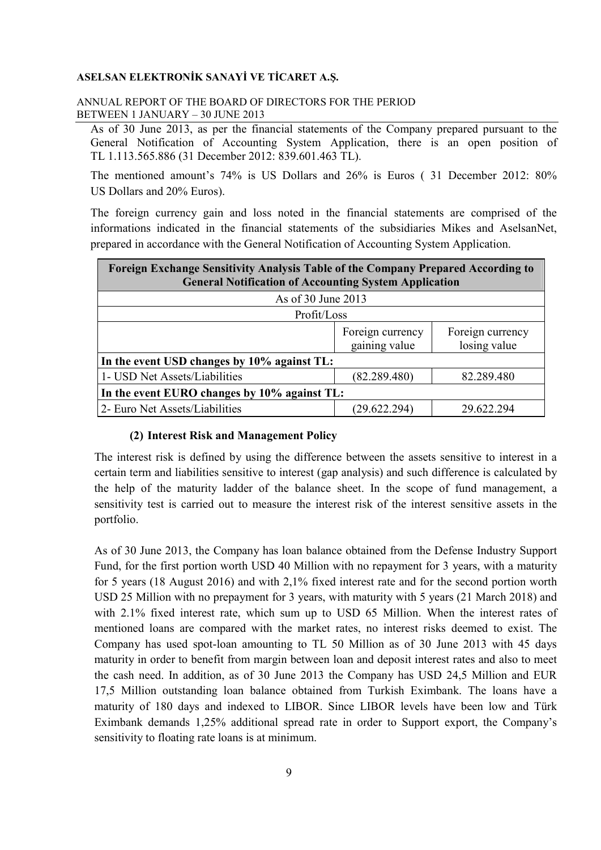## ANNUAL REPORT OF THE BOARD OF DIRECTORS FOR THE PERIOD BETWEEN 1 JANUARY – 30 JUNE 2013

As of 30 June 2013, as per the financial statements of the Company prepared pursuant to the General Notification of Accounting System Application, there is an open position of TL 1.113.565.886 (31 December 2012: 839.601.463 TL).

The mentioned amount's 74% is US Dollars and 26% is Euros ( 31 December 2012: 80% US Dollars and 20% Euros).

The foreign currency gain and loss noted in the financial statements are comprised of the informations indicated in the financial statements of the subsidiaries Mikes and AselsanNet, prepared in accordance with the General Notification of Accounting System Application.

| Foreign Exchange Sensitivity Analysis Table of the Company Prepared According to<br><b>General Notification of Accounting System Application</b> |                                   |                                  |  |  |
|--------------------------------------------------------------------------------------------------------------------------------------------------|-----------------------------------|----------------------------------|--|--|
| As of 30 June 2013                                                                                                                               |                                   |                                  |  |  |
| Profit/Loss                                                                                                                                      |                                   |                                  |  |  |
|                                                                                                                                                  | Foreign currency<br>gaining value | Foreign currency<br>losing value |  |  |
| In the event USD changes by 10% against TL:                                                                                                      |                                   |                                  |  |  |
| 1- USD Net Assets/Liabilities                                                                                                                    | (82.289.480)                      | 82.289.480                       |  |  |
| In the event EURO changes by 10% against TL:                                                                                                     |                                   |                                  |  |  |
| 2- Euro Net Assets/Liabilities                                                                                                                   | (29.622.294)                      | 29.622.294                       |  |  |

## **(2) Interest Risk and Management Policy**

The interest risk is defined by using the difference between the assets sensitive to interest in a certain term and liabilities sensitive to interest (gap analysis) and such difference is calculated by the help of the maturity ladder of the balance sheet. In the scope of fund management, a sensitivity test is carried out to measure the interest risk of the interest sensitive assets in the portfolio.

As of 30 June 2013, the Company has loan balance obtained from the Defense Industry Support Fund, for the first portion worth USD 40 Million with no repayment for 3 years, with a maturity for 5 years (18 August 2016) and with 2,1% fixed interest rate and for the second portion worth USD 25 Million with no prepayment for 3 years, with maturity with 5 years (21 March 2018) and with 2.1% fixed interest rate, which sum up to USD 65 Million. When the interest rates of mentioned loans are compared with the market rates, no interest risks deemed to exist. The Company has used spot-loan amounting to TL 50 Million as of 30 June 2013 with 45 days maturity in order to benefit from margin between loan and deposit interest rates and also to meet the cash need. In addition, as of 30 June 2013 the Company has USD 24,5 Million and EUR 17,5 Million outstanding loan balance obtained from Turkish Eximbank. The loans have a maturity of 180 days and indexed to LIBOR. Since LIBOR levels have been low and Türk Eximbank demands 1,25% additional spread rate in order to Support export, the Company's sensitivity to floating rate loans is at minimum.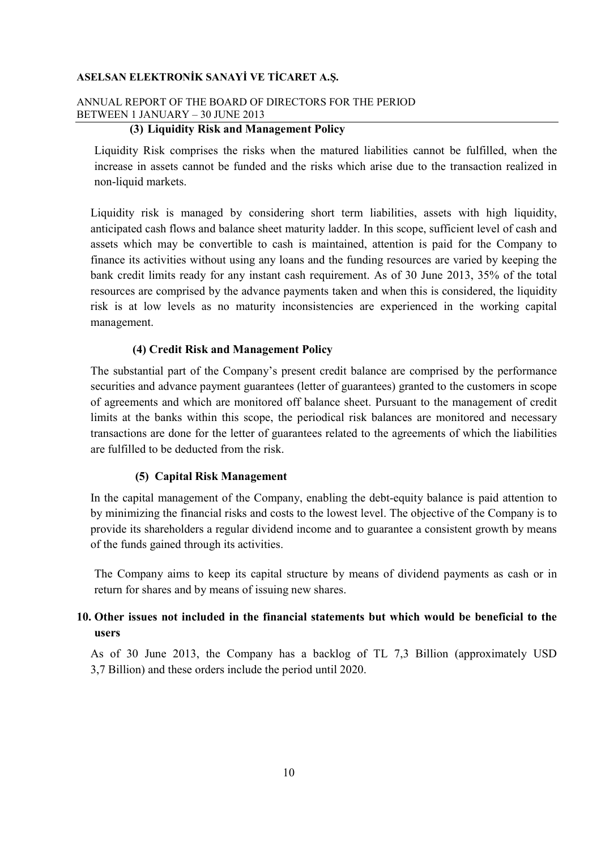# ANNUAL REPORT OF THE BOARD OF DIRECTORS FOR THE PERIOD BETWEEN 1 JANUARY – 30 JUNE 2013

# **(3) Liquidity Risk and Management Policy**

Liquidity Risk comprises the risks when the matured liabilities cannot be fulfilled, when the increase in assets cannot be funded and the risks which arise due to the transaction realized in non-liquid markets.

Liquidity risk is managed by considering short term liabilities, assets with high liquidity, anticipated cash flows and balance sheet maturity ladder. In this scope, sufficient level of cash and assets which may be convertible to cash is maintained, attention is paid for the Company to finance its activities without using any loans and the funding resources are varied by keeping the bank credit limits ready for any instant cash requirement. As of 30 June 2013, 35% of the total resources are comprised by the advance payments taken and when this is considered, the liquidity risk is at low levels as no maturity inconsistencies are experienced in the working capital management.

#### **(4) Credit Risk and Management Policy**

The substantial part of the Company's present credit balance are comprised by the performance securities and advance payment guarantees (letter of guarantees) granted to the customers in scope of agreements and which are monitored off balance sheet. Pursuant to the management of credit limits at the banks within this scope, the periodical risk balances are monitored and necessary transactions are done for the letter of guarantees related to the agreements of which the liabilities are fulfilled to be deducted from the risk.

## **(5) Capital Risk Management**

In the capital management of the Company, enabling the debt-equity balance is paid attention to by minimizing the financial risks and costs to the lowest level. The objective of the Company is to provide its shareholders a regular dividend income and to guarantee a consistent growth by means of the funds gained through its activities.

The Company aims to keep its capital structure by means of dividend payments as cash or in return for shares and by means of issuing new shares.

# **10. Other issues not included in the financial statements but which would be beneficial to the users**

As of 30 June 2013, the Company has a backlog of TL 7,3 Billion (approximately USD 3,7 Billion) and these orders include the period until 2020.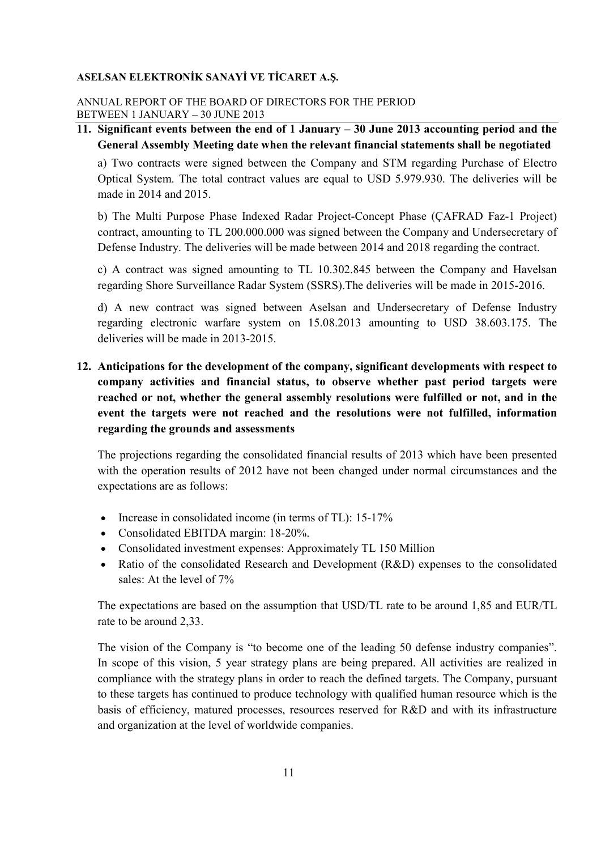## ANNUAL REPORT OF THE BOARD OF DIRECTORS FOR THE PERIOD BETWEEN 1 JANUARY – 30 JUNE 2013

# **11. Significant events between the end of 1 January – 30 June 2013 accounting period and the General Assembly Meeting date when the relevant financial statements shall be negotiated**

a) Two contracts were signed between the Company and STM regarding Purchase of Electro Optical System. The total contract values are equal to USD 5.979.930. The deliveries will be made in 2014 and 2015.

b) The Multi Purpose Phase Indexed Radar Project-Concept Phase (ÇAFRAD Faz-1 Project) contract, amounting to TL 200.000.000 was signed between the Company and Undersecretary of Defense Industry. The deliveries will be made between 2014 and 2018 regarding the contract.

c) A contract was signed amounting to TL 10.302.845 between the Company and Havelsan regarding Shore Surveillance Radar System (SSRS).The deliveries will be made in 2015-2016.

d) A new contract was signed between Aselsan and Undersecretary of Defense Industry regarding electronic warfare system on 15.08.2013 amounting to USD 38.603.175. The deliveries will be made in 2013-2015.

# **12. Anticipations for the development of the company, significant developments with respect to company activities and financial status, to observe whether past period targets were reached or not, whether the general assembly resolutions were fulfilled or not, and in the event the targets were not reached and the resolutions were not fulfilled, information regarding the grounds and assessments**

The projections regarding the consolidated financial results of 2013 which have been presented with the operation results of 2012 have not been changed under normal circumstances and the expectations are as follows:

- Increase in consolidated income (in terms of TL): 15-17%
- Consolidated EBITDA margin: 18-20%.
- Consolidated investment expenses: Approximately TL 150 Million
- Ratio of the consolidated Research and Development (R&D) expenses to the consolidated sales: At the level of 7%

The expectations are based on the assumption that USD/TL rate to be around 1,85 and EUR/TL rate to be around 2,33.

The vision of the Company is "to become one of the leading 50 defense industry companies". In scope of this vision, 5 year strategy plans are being prepared. All activities are realized in compliance with the strategy plans in order to reach the defined targets. The Company, pursuant to these targets has continued to produce technology with qualified human resource which is the basis of efficiency, matured processes, resources reserved for R&D and with its infrastructure and organization at the level of worldwide companies.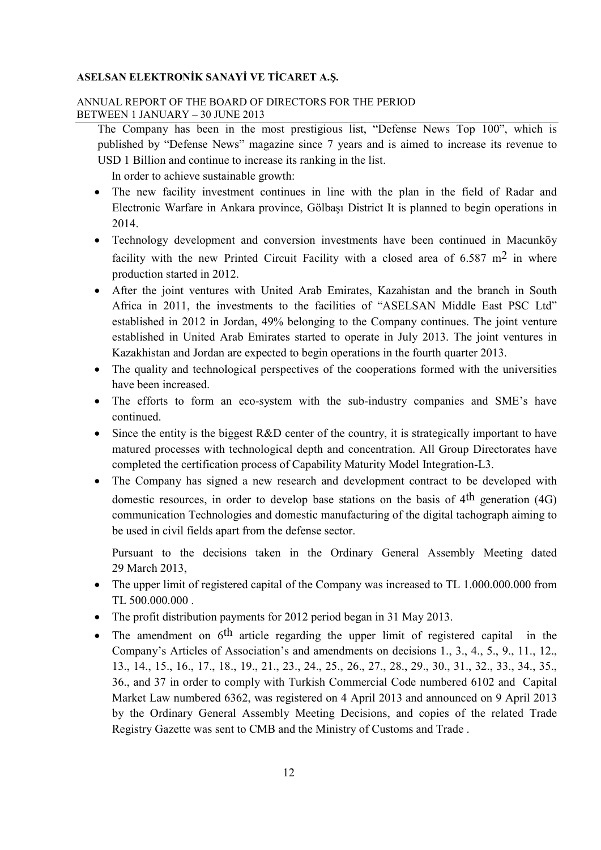## ANNUAL REPORT OF THE BOARD OF DIRECTORS FOR THE PERIOD BETWEEN 1 JANUARY – 30 JUNE 2013

The Company has been in the most prestigious list, "Defense News Top 100", which is published by "Defense News" magazine since 7 years and is aimed to increase its revenue to USD 1 Billion and continue to increase its ranking in the list.

In order to achieve sustainable growth:

- The new facility investment continues in line with the plan in the field of Radar and Electronic Warfare in Ankara province, Gölbaşı District It is planned to begin operations in 2014.
- Technology development and conversion investments have been continued in Macunköy facility with the new Printed Circuit Facility with a closed area of  $6.587 \text{ m}^2$  in where production started in 2012.
- After the joint ventures with United Arab Emirates, Kazahistan and the branch in South Africa in 2011, the investments to the facilities of "ASELSAN Middle East PSC Ltd" established in 2012 in Jordan, 49% belonging to the Company continues. The joint venture established in United Arab Emirates started to operate in July 2013. The joint ventures in Kazakhistan and Jordan are expected to begin operations in the fourth quarter 2013.
- The quality and technological perspectives of the cooperations formed with the universities have been increased.
- The efforts to form an eco-system with the sub-industry companies and SME's have continued.
- Since the entity is the biggest R&D center of the country, it is strategically important to have matured processes with technological depth and concentration. All Group Directorates have completed the certification process of Capability Maturity Model Integration-L3.
- The Company has signed a new research and development contract to be developed with domestic resources, in order to develop base stations on the basis of 4<sup>th</sup> generation (4G) communication Technologies and domestic manufacturing of the digital tachograph aiming to be used in civil fields apart from the defense sector.

Pursuant to the decisions taken in the Ordinary General Assembly Meeting dated 29 March 2013,

- The upper limit of registered capital of the Company was increased to TL 1.000.000.000 from TL 500.000.000 .
- The profit distribution payments for 2012 period began in 31 May 2013.
- The amendment on  $6<sup>th</sup>$  article regarding the upper limit of registered capital in the Company's Articles of Association's and amendments on decisions 1., 3., 4., 5., 9., 11., 12., 13., 14., 15., 16., 17., 18., 19., 21., 23., 24., 25., 26., 27., 28., 29., 30., 31., 32., 33., 34., 35., 36., and 37 in order to comply with Turkish Commercial Code numbered 6102 and Capital Market Law numbered 6362, was registered on 4 April 2013 and announced on 9 April 2013 by the Ordinary General Assembly Meeting Decisions, and copies of the related Trade Registry Gazette was sent to CMB and the Ministry of Customs and Trade .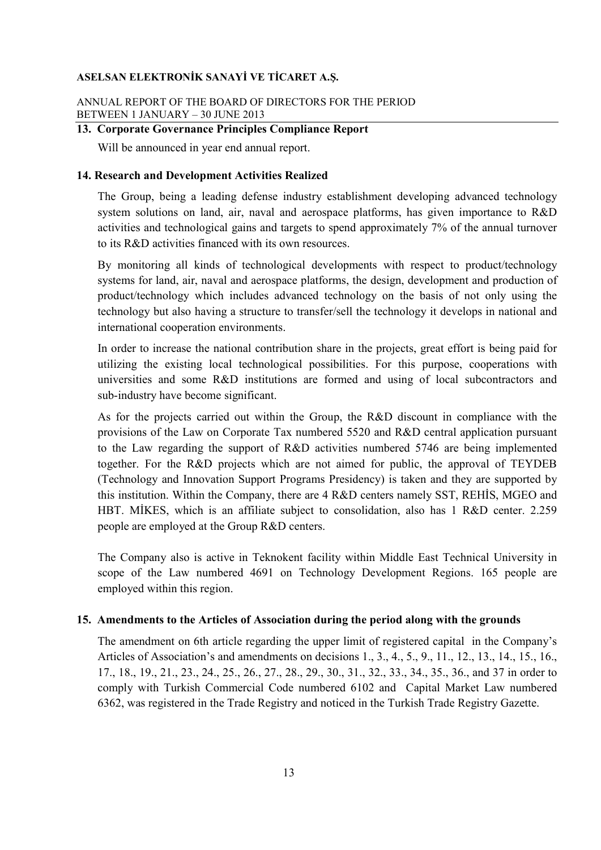## ANNUAL REPORT OF THE BOARD OF DIRECTORS FOR THE PERIOD BETWEEN 1 JANUARY – 30 JUNE 2013

# **13. Corporate Governance Principles Compliance Report**

Will be announced in year end annual report.

#### **14. Research and Development Activities Realized**

The Group, being a leading defense industry establishment developing advanced technology system solutions on land, air, naval and aerospace platforms, has given importance to R&D activities and technological gains and targets to spend approximately 7% of the annual turnover to its R&D activities financed with its own resources.

By monitoring all kinds of technological developments with respect to product/technology systems for land, air, naval and aerospace platforms, the design, development and production of product/technology which includes advanced technology on the basis of not only using the technology but also having a structure to transfer/sell the technology it develops in national and international cooperation environments.

In order to increase the national contribution share in the projects, great effort is being paid for utilizing the existing local technological possibilities. For this purpose, cooperations with universities and some R&D institutions are formed and using of local subcontractors and sub-industry have become significant.

As for the projects carried out within the Group, the R&D discount in compliance with the provisions of the Law on Corporate Tax numbered 5520 and R&D central application pursuant to the Law regarding the support of R&D activities numbered 5746 are being implemented together. For the R&D projects which are not aimed for public, the approval of TEYDEB (Technology and Innovation Support Programs Presidency) is taken and they are supported by this institution. Within the Company, there are 4 R&D centers namely SST, REHIS, MGEO and HBT. MİKES, which is an affiliate subject to consolidation, also has 1 R&D center. 2.259 people are employed at the Group R&D centers.

The Company also is active in Teknokent facility within Middle East Technical University in scope of the Law numbered 4691 on Technology Development Regions. 165 people are employed within this region.

#### **15. Amendments to the Articles of Association during the period along with the grounds**

The amendment on 6th article regarding the upper limit of registered capital in the Company's Articles of Association's and amendments on decisions 1., 3., 4., 5., 9., 11., 12., 13., 14., 15., 16., 17., 18., 19., 21., 23., 24., 25., 26., 27., 28., 29., 30., 31., 32., 33., 34., 35., 36., and 37 in order to comply with Turkish Commercial Code numbered 6102 and Capital Market Law numbered 6362, was registered in the Trade Registry and noticed in the Turkish Trade Registry Gazette.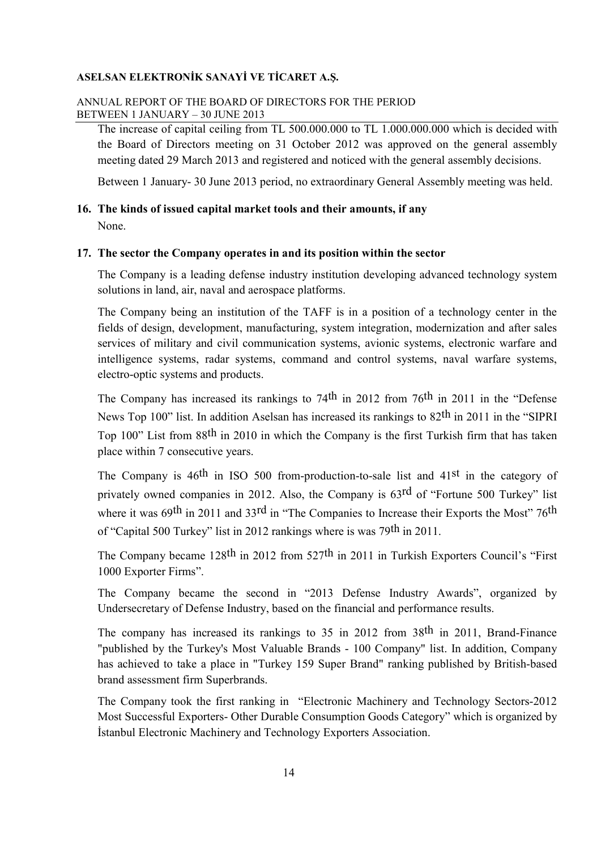# ANNUAL REPORT OF THE BOARD OF DIRECTORS FOR THE PERIOD BETWEEN 1 JANUARY – 30 JUNE 2013

The increase of capital ceiling from TL 500.000.000 to TL 1.000.000.000 which is decided with the Board of Directors meeting on 31 October 2012 was approved on the general assembly meeting dated 29 March 2013 and registered and noticed with the general assembly decisions.

Between 1 January- 30 June 2013 period, no extraordinary General Assembly meeting was held.

## **16. The kinds of issued capital market tools and their amounts, if any**

None.

## **17. The sector the Company operates in and its position within the sector**

The Company is a leading defense industry institution developing advanced technology system solutions in land, air, naval and aerospace platforms.

The Company being an institution of the TAFF is in a position of a technology center in the fields of design, development, manufacturing, system integration, modernization and after sales services of military and civil communication systems, avionic systems, electronic warfare and intelligence systems, radar systems, command and control systems, naval warfare systems, electro-optic systems and products.

The Company has increased its rankings to 74<sup>th</sup> in 2012 from 76<sup>th</sup> in 2011 in the "Defense News Top 100" list. In addition Aselsan has increased its rankings to 82<sup>th</sup> in 2011 in the "SIPRI" Top 100" List from 88th in 2010 in which the Company is the first Turkish firm that has taken place within 7 consecutive years.

The Company is 46th in ISO 500 from-production-to-sale list and 41st in the category of privately owned companies in 2012. Also, the Company is 63rd of "Fortune 500 Turkey" list where it was 69<sup>th</sup> in 2011 and 33<sup>rd</sup> in "The Companies to Increase their Exports the Most" 76<sup>th</sup> of "Capital 500 Turkey" list in 2012 rankings where is was 79th in 2011.

The Company became 128<sup>th</sup> in 2012 from 527<sup>th</sup> in 2011 in Turkish Exporters Council's "First 1000 Exporter Firms".

The Company became the second in "2013 Defense Industry Awards", organized by Undersecretary of Defense Industry, based on the financial and performance results.

The company has increased its rankings to 35 in 2012 from 38th in 2011, Brand-Finance "published by the Turkey's Most Valuable Brands - 100 Company" list. In addition, Company has achieved to take a place in "Turkey 159 Super Brand" ranking published by British-based brand assessment firm Superbrands.

The Company took the first ranking in "Electronic Machinery and Technology Sectors-2012 Most Successful Exporters- Other Durable Consumption Goods Category" which is organized by Istanbul Electronic Machinery and Technology Exporters Association.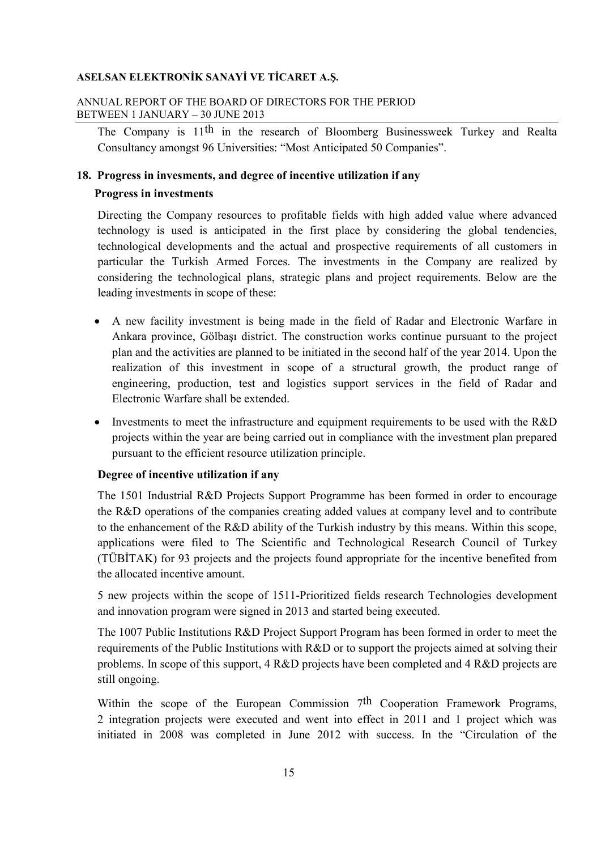## ANNUAL REPORT OF THE BOARD OF DIRECTORS FOR THE PERIOD BETWEEN 1 JANUARY – 30 JUNE 2013

The Company is 11<sup>th</sup> in the research of Bloomberg Businessweek Turkey and Realta Consultancy amongst 96 Universities: "Most Anticipated 50 Companies".

#### **18. Progress in invesments, and degree of incentive utilization if any**

#### **Progress in investments**

Directing the Company resources to profitable fields with high added value where advanced technology is used is anticipated in the first place by considering the global tendencies, technological developments and the actual and prospective requirements of all customers in particular the Turkish Armed Forces. The investments in the Company are realized by considering the technological plans, strategic plans and project requirements. Below are the leading investments in scope of these:

- A new facility investment is being made in the field of Radar and Electronic Warfare in Ankara province, Gölbaşı district. The construction works continue pursuant to the project plan and the activities are planned to be initiated in the second half of the year 2014. Upon the realization of this investment in scope of a structural growth, the product range of engineering, production, test and logistics support services in the field of Radar and Electronic Warfare shall be extended.
- Investments to meet the infrastructure and equipment requirements to be used with the R&D projects within the year are being carried out in compliance with the investment plan prepared pursuant to the efficient resource utilization principle.

## **Degree of incentive utilization if any**

The 1501 Industrial R&D Projects Support Programme has been formed in order to encourage the R&D operations of the companies creating added values at company level and to contribute to the enhancement of the R&D ability of the Turkish industry by this means. Within this scope, applications were filed to The Scientific and Technological Research Council of Turkey (TÜBĐTAK) for 93 projects and the projects found appropriate for the incentive benefited from the allocated incentive amount.

5 new projects within the scope of 1511-Prioritized fields research Technologies development and innovation program were signed in 2013 and started being executed.

The 1007 Public Institutions R&D Project Support Program has been formed in order to meet the requirements of the Public Institutions with R&D or to support the projects aimed at solving their problems. In scope of this support, 4 R&D projects have been completed and 4 R&D projects are still ongoing.

Within the scope of the European Commission  $7<sup>th</sup>$  Cooperation Framework Programs, 2 integration projects were executed and went into effect in 2011 and 1 project which was initiated in 2008 was completed in June 2012 with success. In the "Circulation of the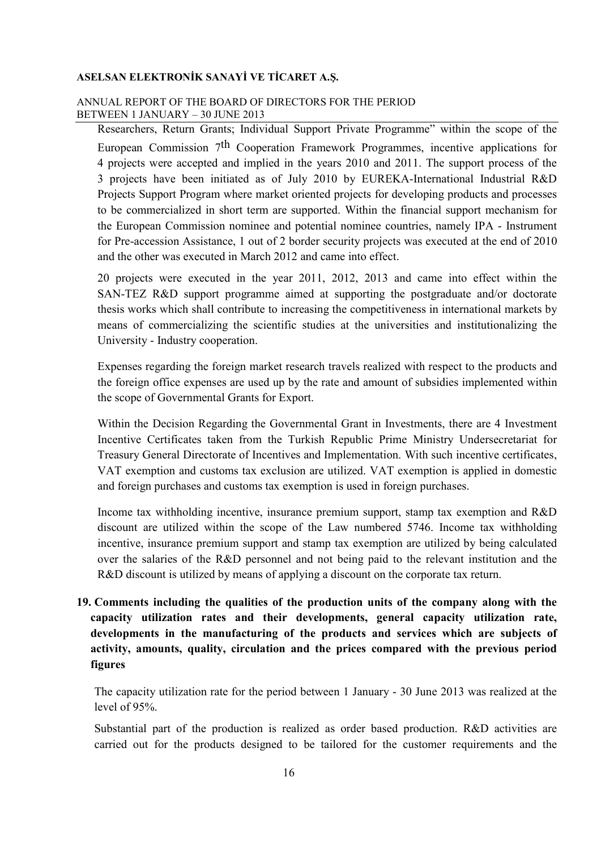## ANNUAL REPORT OF THE BOARD OF DIRECTORS FOR THE PERIOD BETWEEN 1 JANUARY – 30 JUNE 2013

Researchers, Return Grants; Individual Support Private Programme" within the scope of the European Commission 7th Cooperation Framework Programmes, incentive applications for 4 projects were accepted and implied in the years 2010 and 2011. The support process of the 3 projects have been initiated as of July 2010 by EUREKA-International Industrial R&D Projects Support Program where market oriented projects for developing products and processes to be commercialized in short term are supported. Within the financial support mechanism for the European Commission nominee and potential nominee countries, namely IPA - Instrument for Pre-accession Assistance, 1 out of 2 border security projects was executed at the end of 2010 and the other was executed in March 2012 and came into effect.

20 projects were executed in the year 2011, 2012, 2013 and came into effect within the SAN-TEZ R&D support programme aimed at supporting the postgraduate and/or doctorate thesis works which shall contribute to increasing the competitiveness in international markets by means of commercializing the scientific studies at the universities and institutionalizing the University - Industry cooperation.

Expenses regarding the foreign market research travels realized with respect to the products and the foreign office expenses are used up by the rate and amount of subsidies implemented within the scope of Governmental Grants for Export.

Within the Decision Regarding the Governmental Grant in Investments, there are 4 Investment Incentive Certificates taken from the Turkish Republic Prime Ministry Undersecretariat for Treasury General Directorate of Incentives and Implementation. With such incentive certificates, VAT exemption and customs tax exclusion are utilized. VAT exemption is applied in domestic and foreign purchases and customs tax exemption is used in foreign purchases.

Income tax withholding incentive, insurance premium support, stamp tax exemption and R&D discount are utilized within the scope of the Law numbered 5746. Income tax withholding incentive, insurance premium support and stamp tax exemption are utilized by being calculated over the salaries of the R&D personnel and not being paid to the relevant institution and the R&D discount is utilized by means of applying a discount on the corporate tax return.

**19. Comments including the qualities of the production units of the company along with the capacity utilization rates and their developments, general capacity utilization rate, developments in the manufacturing of the products and services which are subjects of activity, amounts, quality, circulation and the prices compared with the previous period figures** 

The capacity utilization rate for the period between 1 January - 30 June 2013 was realized at the level of 95%.

Substantial part of the production is realized as order based production. R&D activities are carried out for the products designed to be tailored for the customer requirements and the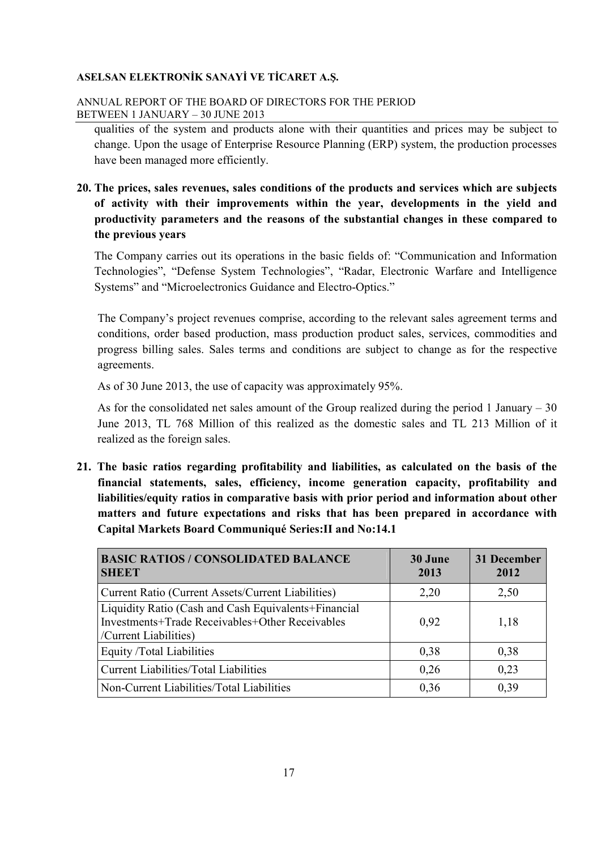## ANNUAL REPORT OF THE BOARD OF DIRECTORS FOR THE PERIOD BETWEEN 1 JANUARY – 30 JUNE 2013

qualities of the system and products alone with their quantities and prices may be subject to change. Upon the usage of Enterprise Resource Planning (ERP) system, the production processes have been managed more efficiently.

# **20. The prices, sales revenues, sales conditions of the products and services which are subjects of activity with their improvements within the year, developments in the yield and productivity parameters and the reasons of the substantial changes in these compared to the previous years**

The Company carries out its operations in the basic fields of: "Communication and Information Technologies", "Defense System Technologies", "Radar, Electronic Warfare and Intelligence Systems" and "Microelectronics Guidance and Electro-Optics."

The Company's project revenues comprise, according to the relevant sales agreement terms and conditions, order based production, mass production product sales, services, commodities and progress billing sales. Sales terms and conditions are subject to change as for the respective agreements.

As of 30 June 2013, the use of capacity was approximately 95%.

As for the consolidated net sales amount of the Group realized during the period 1 January – 30 June 2013, TL 768 Million of this realized as the domestic sales and TL 213 Million of it realized as the foreign sales.

**21. The basic ratios regarding profitability and liabilities, as calculated on the basis of the financial statements, sales, efficiency, income generation capacity, profitability and liabilities/equity ratios in comparative basis with prior period and information about other matters and future expectations and risks that has been prepared in accordance with Capital Markets Board Communiqué Series:II and No:14.1** 

| <b>BASIC RATIOS / CONSOLIDATED BALANCE</b><br><b>SHEET</b>                                                                       | 30 June<br>2013 | 31 December<br>2012 |
|----------------------------------------------------------------------------------------------------------------------------------|-----------------|---------------------|
| Current Ratio (Current Assets/Current Liabilities)                                                                               | 2,20            | 2,50                |
| Liquidity Ratio (Cash and Cash Equivalents+Financial<br>Investments+Trade Receivables+Other Receivables<br>/Current Liabilities) | 0.92            | 1,18                |
| Equity /Total Liabilities                                                                                                        | 0,38            | 0,38                |
| <b>Current Liabilities/Total Liabilities</b>                                                                                     | 0,26            | 0,23                |
| Non-Current Liabilities/Total Liabilities                                                                                        | 0,36            | 0,39                |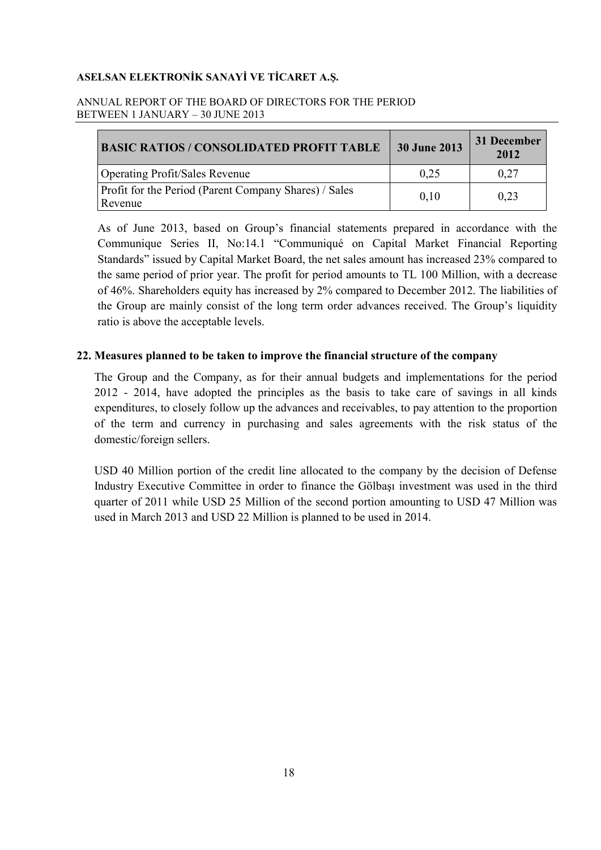## ANNUAL REPORT OF THE BOARD OF DIRECTORS FOR THE PERIOD BETWEEN 1 JANUARY – 30 JUNE 2013

| <b>BASIC RATIOS / CONSOLIDATED PROFIT TABLE</b>                  | <b>30 June 2013</b> | 31 December<br>2012 |
|------------------------------------------------------------------|---------------------|---------------------|
| <b>Operating Profit/Sales Revenue</b>                            | 0.25                | 0.27                |
| Profit for the Period (Parent Company Shares) / Sales<br>Revenue | 0,10                | 0,23                |

As of June 2013, based on Group's financial statements prepared in accordance with the Communique Series II, No:14.1 "Communiqué on Capital Market Financial Reporting Standards" issued by Capital Market Board, the net sales amount has increased 23% compared to the same period of prior year. The profit for period amounts to TL 100 Million, with a decrease of 46%. Shareholders equity has increased by 2% compared to December 2012. The liabilities of the Group are mainly consist of the long term order advances received. The Group's liquidity ratio is above the acceptable levels.

# **22. Measures planned to be taken to improve the financial structure of the company**

The Group and the Company, as for their annual budgets and implementations for the period 2012 - 2014, have adopted the principles as the basis to take care of savings in all kinds expenditures, to closely follow up the advances and receivables, to pay attention to the proportion of the term and currency in purchasing and sales agreements with the risk status of the domestic/foreign sellers.

USD 40 Million portion of the credit line allocated to the company by the decision of Defense Industry Executive Committee in order to finance the Gölbaşı investment was used in the third quarter of 2011 while USD 25 Million of the second portion amounting to USD 47 Million was used in March 2013 and USD 22 Million is planned to be used in 2014.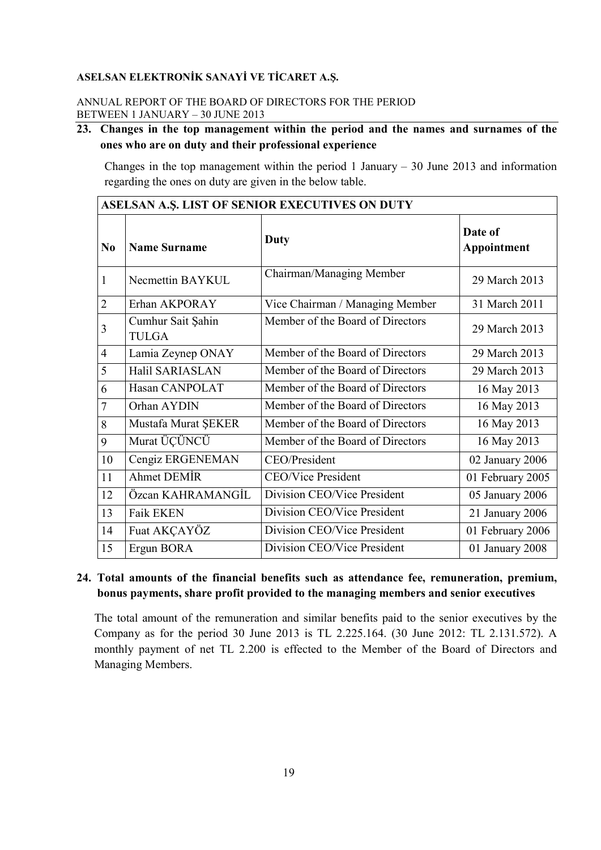## ANNUAL REPORT OF THE BOARD OF DIRECTORS FOR THE PERIOD BETWEEN 1 JANUARY – 30 JUNE 2013

# **23. Changes in the top management within the period and the names and surnames of the ones who are on duty and their professional experience**

Changes in the top management within the period 1 January  $-$  30 June 2013 and information regarding the ones on duty are given in the below table.

| ASELSAN A.Ş. LIST OF SENIOR EXECUTIVES ON DUTY |                                   |                                  |                        |  |
|------------------------------------------------|-----------------------------------|----------------------------------|------------------------|--|
| $\bf No$                                       | <b>Name Surname</b>               | Duty                             | Date of<br>Appointment |  |
| 1                                              | Necmettin BAYKUL                  | Chairman/Managing Member         | 29 March 2013          |  |
| $\overline{2}$                                 | Erhan AKPORAY                     | Vice Chairman / Managing Member  | 31 March 2011          |  |
| 3                                              | Cumhur Sait Şahin<br><b>TULGA</b> | Member of the Board of Directors | 29 March 2013          |  |
| $\overline{4}$                                 | Lamia Zeynep ONAY                 | Member of the Board of Directors | 29 March 2013          |  |
| 5                                              | Halil SARIASLAN                   | Member of the Board of Directors | 29 March 2013          |  |
| 6                                              | Hasan CANPOLAT                    | Member of the Board of Directors | 16 May 2013            |  |
| $\overline{7}$                                 | Orhan AYDIN                       | Member of the Board of Directors | 16 May 2013            |  |
| 8                                              | Mustafa Murat ŞEKER               | Member of the Board of Directors | 16 May 2013            |  |
| 9                                              | Murat ÜÇÜNCÜ                      | Member of the Board of Directors | 16 May 2013            |  |
| 10                                             | Cengiz ERGENEMAN                  | CEO/President                    | 02 January 2006        |  |
| 11                                             | <b>Ahmet DEMİR</b>                | <b>CEO/Vice President</b>        | 01 February 2005       |  |
| 12                                             | Özcan KAHRAMANGİL                 | Division CEO/Vice President      | 05 January 2006        |  |
| 13                                             | <b>Faik EKEN</b>                  | Division CEO/Vice President      | 21 January 2006        |  |
| 14                                             | Fuat AKÇAYÖZ                      | Division CEO/Vice President      | 01 February 2006       |  |
| 15                                             | Ergun BORA                        | Division CEO/Vice President      | 01 January 2008        |  |

# **24. Total amounts of the financial benefits such as attendance fee, remuneration, premium, bonus payments, share profit provided to the managing members and senior executives**

The total amount of the remuneration and similar benefits paid to the senior executives by the Company as for the period 30 June 2013 is TL 2.225.164. (30 June 2012: TL 2.131.572). A monthly payment of net TL 2.200 is effected to the Member of the Board of Directors and Managing Members.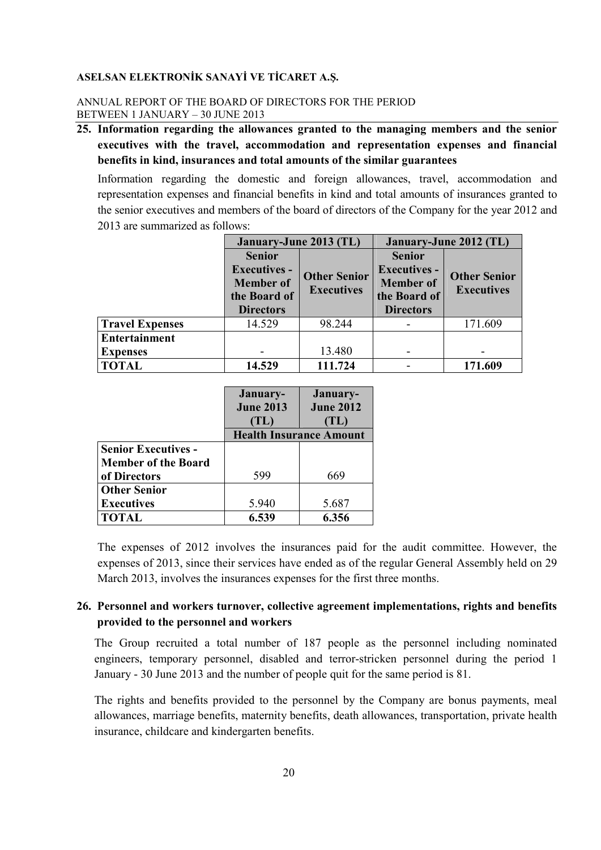## ANNUAL REPORT OF THE BOARD OF DIRECTORS FOR THE PERIOD BETWEEN 1 JANUARY – 30 JUNE 2013

**25. Information regarding the allowances granted to the managing members and the senior executives with the travel, accommodation and representation expenses and financial benefits in kind, insurances and total amounts of the similar guarantees** 

Information regarding the domestic and foreign allowances, travel, accommodation and representation expenses and financial benefits in kind and total amounts of insurances granted to the senior executives and members of the board of directors of the Company for the year 2012 and 2013 are summarized as follows:

|                        | January-June 2013 (TL)                                       |         | January-June 2012 (TL) |                     |
|------------------------|--------------------------------------------------------------|---------|------------------------|---------------------|
|                        | <b>Senior</b>                                                |         | <b>Senior</b>          |                     |
| <b>Executives -</b>    |                                                              |         | <b>Executives -</b>    | <b>Other Senior</b> |
|                        | <b>Other Senior</b><br><b>Member</b> of<br><b>Executives</b> |         | <b>Member</b> of       | <b>Executives</b>   |
|                        | the Board of                                                 |         | the Board of           |                     |
|                        | <b>Directors</b>                                             |         | <b>Directors</b>       |                     |
| <b>Travel Expenses</b> | 14.529                                                       | 98.244  |                        | 171.609             |
| <b>Entertainment</b>   |                                                              |         |                        |                     |
| <b>Expenses</b>        |                                                              | 13.480  |                        |                     |
| <b>TOTAL</b>           | 14.529                                                       | 111.724 |                        | 171.609             |

|                            | January-                       | January-         |
|----------------------------|--------------------------------|------------------|
|                            | <b>June 2013</b>               | <b>June 2012</b> |
|                            | $\ket{\mathrm{TL}}$            | TL)              |
|                            | <b>Health Insurance Amount</b> |                  |
| <b>Senior Executives -</b> |                                |                  |
| <b>Member of the Board</b> |                                |                  |
| of Directors               | 599                            | 669              |
| <b>Other Senior</b>        |                                |                  |
| <b>Executives</b>          | 5.940                          | 5.687            |
| <b>TOTAL</b>               | 6.539                          | 6.356            |

The expenses of 2012 involves the insurances paid for the audit committee. However, the expenses of 2013, since their services have ended as of the regular General Assembly held on 29 March 2013, involves the insurances expenses for the first three months.

# **26. Personnel and workers turnover, collective agreement implementations, rights and benefits provided to the personnel and workers**

The Group recruited a total number of 187 people as the personnel including nominated engineers, temporary personnel, disabled and terror-stricken personnel during the period 1 January - 30 June 2013 and the number of people quit for the same period is 81.

The rights and benefits provided to the personnel by the Company are bonus payments, meal allowances, marriage benefits, maternity benefits, death allowances, transportation, private health insurance, childcare and kindergarten benefits.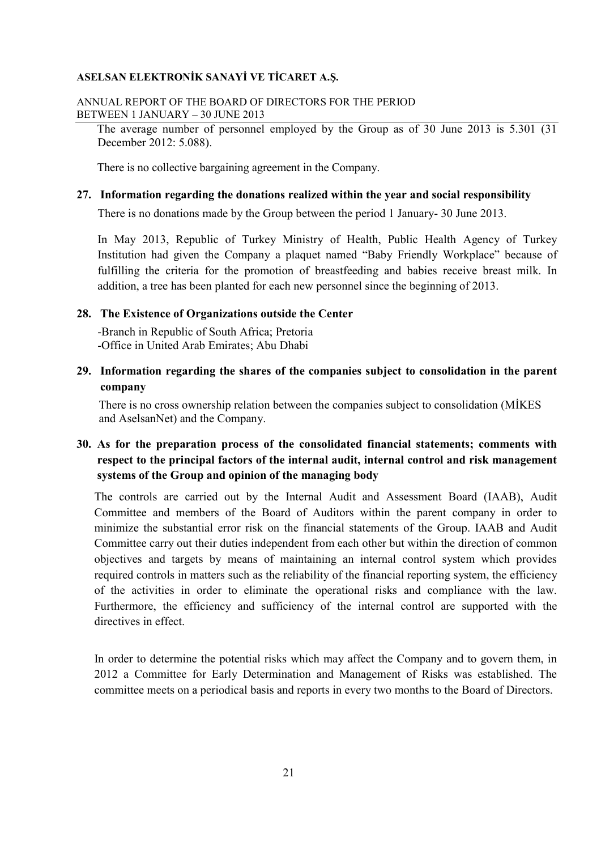#### ANNUAL REPORT OF THE BOARD OF DIRECTORS FOR THE PERIOD BETWEEN 1 JANUARY – 30 JUNE 2013

 The average number of personnel employed by the Group as of 30 June 2013 is 5.301 (31 December 2012: 5.088).

There is no collective bargaining agreement in the Company.

## **27. Information regarding the donations realized within the year and social responsibility**

There is no donations made by the Group between the period 1 January- 30 June 2013.

In May 2013, Republic of Turkey Ministry of Health, Public Health Agency of Turkey Institution had given the Company a plaquet named "Baby Friendly Workplace" because of fulfilling the criteria for the promotion of breastfeeding and babies receive breast milk. In addition, a tree has been planted for each new personnel since the beginning of 2013.

#### **28. The Existence of Organizations outside the Center**

 -Branch in Republic of South Africa; Pretoria -Office in United Arab Emirates; Abu Dhabi

# **29. Information regarding the shares of the companies subject to consolidation in the parent company**

There is no cross ownership relation between the companies subject to consolidation (MİKES) and AselsanNet) and the Company.

# **30. As for the preparation process of the consolidated financial statements; comments with respect to the principal factors of the internal audit, internal control and risk management systems of the Group and opinion of the managing body**

The controls are carried out by the Internal Audit and Assessment Board (IAAB), Audit Committee and members of the Board of Auditors within the parent company in order to minimize the substantial error risk on the financial statements of the Group. IAAB and Audit Committee carry out their duties independent from each other but within the direction of common objectives and targets by means of maintaining an internal control system which provides required controls in matters such as the reliability of the financial reporting system, the efficiency of the activities in order to eliminate the operational risks and compliance with the law. Furthermore, the efficiency and sufficiency of the internal control are supported with the directives in effect.

In order to determine the potential risks which may affect the Company and to govern them, in 2012 a Committee for Early Determination and Management of Risks was established. The committee meets on a periodical basis and reports in every two months to the Board of Directors.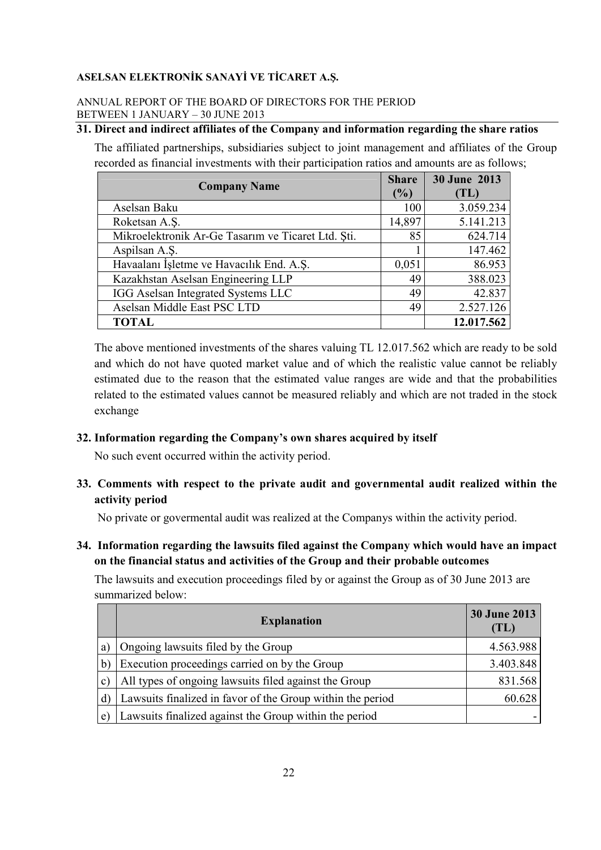## ANNUAL REPORT OF THE BOARD OF DIRECTORS FOR THE PERIOD BETWEEN 1 JANUARY – 30 JUNE 2013

# **31. Direct and indirect affiliates of the Company and information regarding the share ratios**

The affiliated partnerships, subsidiaries subject to joint management and affiliates of the Group recorded as financial investments with their participation ratios and amounts are as follows;

| <b>Company Name</b>                                |        | 30 June 2013 |
|----------------------------------------------------|--------|--------------|
|                                                    |        | (TL)         |
| Aselsan Baku                                       | 100    | 3.059.234    |
| Roketsan A.S.                                      | 14,897 | 5.141.213    |
| Mikroelektronik Ar-Ge Tasarım ve Ticaret Ltd. Şti. | 85     | 624.714      |
| Aspilsan A.S.                                      |        | 147.462      |
| Havaalanı İşletme ve Havacılık End. A.Ş.           | 0,051  | 86.953       |
| Kazakhstan Aselsan Engineering LLP                 | 49     | 388.023      |
| IGG Aselsan Integrated Systems LLC                 | 49     | 42.837       |
| Aselsan Middle East PSC LTD                        | 49     | 2.527.126    |
| TOTAL                                              |        | 12.017.562   |

The above mentioned investments of the shares valuing TL 12.017.562 which are ready to be sold and which do not have quoted market value and of which the realistic value cannot be reliably estimated due to the reason that the estimated value ranges are wide and that the probabilities related to the estimated values cannot be measured reliably and which are not traded in the stock exchange

# **32. Information regarding the Company's own shares acquired by itself**

No such event occurred within the activity period.

**33. Comments with respect to the private audit and governmental audit realized within the activity period**

No private or govermental audit was realized at the Companys within the activity period.

**34. Information regarding the lawsuits filed against the Company which would have an impact on the financial status and activities of the Group and their probable outcomes** 

The lawsuits and execution proceedings filed by or against the Group as of 30 June 2013 are summarized below:

|    | <b>Explanation</b>                                         | <b>30 June 2013</b><br>(TL) |
|----|------------------------------------------------------------|-----------------------------|
| a  | Ongoing lawsuits filed by the Group                        | 4.563.988                   |
|    | Execution proceedings carried on by the Group              | 3.403.848                   |
|    | All types of ongoing lawsuits filed against the Group      | 831.568                     |
| d  | Lawsuits finalized in favor of the Group within the period | 60.628                      |
| e. | Lawsuits finalized against the Group within the period     |                             |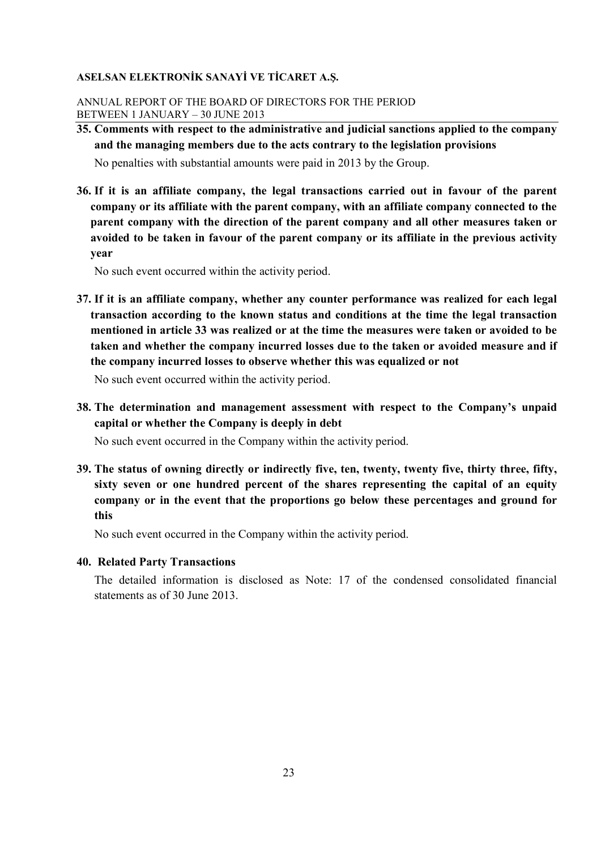## ANNUAL REPORT OF THE BOARD OF DIRECTORS FOR THE PERIOD BETWEEN 1 JANUARY – 30 JUNE 2013

**35. Comments with respect to the administrative and judicial sanctions applied to the company and the managing members due to the acts contrary to the legislation provisions**

No penalties with substantial amounts were paid in 2013 by the Group.

**36. If it is an affiliate company, the legal transactions carried out in favour of the parent company or its affiliate with the parent company, with an affiliate company connected to the parent company with the direction of the parent company and all other measures taken or avoided to be taken in favour of the parent company or its affiliate in the previous activity year**

No such event occurred within the activity period.

**37. If it is an affiliate company, whether any counter performance was realized for each legal transaction according to the known status and conditions at the time the legal transaction mentioned in article 33 was realized or at the time the measures were taken or avoided to be taken and whether the company incurred losses due to the taken or avoided measure and if the company incurred losses to observe whether this was equalized or not**

No such event occurred within the activity period.

**38. The determination and management assessment with respect to the Company's unpaid capital or whether the Company is deeply in debt** 

No such event occurred in the Company within the activity period.

**39. The status of owning directly or indirectly five, ten, twenty, twenty five, thirty three, fifty, sixty seven or one hundred percent of the shares representing the capital of an equity company or in the event that the proportions go below these percentages and ground for this**

No such event occurred in the Company within the activity period.

### **40. Related Party Transactions**

The detailed information is disclosed as Note: 17 of the condensed consolidated financial statements as of 30 June 2013.